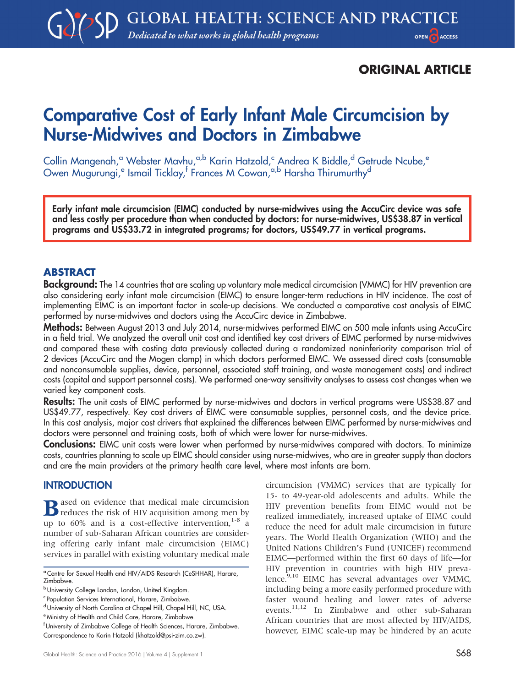## ORIGINAL ARTICLE

# Comparative Cost of Early Infant Male Circumcision by Nurse-Midwives and Doctors in Zimbabwe

Collin Mangenah,<sup>a</sup> Webster Mavhu,<sup>a,b</sup> Karin Hatzold,<sup>c</sup> Andrea K Biddle,<sup>d</sup> Getrude Ncube,<sup>e</sup> Owen Mugurungi,<sup>e</sup> Ismail Ticklay,<sup>f</sup> Frances M Cowan,<sup>a,b</sup> Harsha Thirumurthy<sup>d</sup>

Early infant male circumcision (EIMC) conducted by nurse-midwives using the AccuCirc device was safe and less costly per procedure than when conducted by doctors: for nurse-midwives, US\$38.87 in vertical programs and US\$33.72 in integrated programs; for doctors, US\$49.77 in vertical programs.

## ABSTRACT

**Background:** The 14 countries that are scaling up voluntary male medical circumcision (VMMC) for HIV prevention are also considering early infant male circumcision (EIMC) to ensure longer-term reductions in HIV incidence. The cost of implementing EIMC is an important factor in scale-up decisions. We conducted a comparative cost analysis of EIMC performed by nurse-midwives and doctors using the AccuCirc device in Zimbabwe.

Methods: Between August 2013 and July 2014, nurse-midwives performed EIMC on 500 male infants using AccuCirc in a field trial. We analyzed the overall unit cost and identified key cost drivers of EIMC performed by nurse-midwives and compared these with costing data previously collected during a randomized noninferiority comparison trial of 2 devices (AccuCirc and the Mogen clamp) in which doctors performed EIMC. We assessed direct costs (consumable and nonconsumable supplies, device, personnel, associated staff training, and waste management costs) and indirect costs (capital and support personnel costs). We performed one-way sensitivity analyses to assess cost changes when we varied key component costs.

Results: The unit costs of EIMC performed by nurse-midwives and doctors in vertical programs were US\$38.87 and US\$49.77, respectively. Key cost drivers of EIMC were consumable supplies, personnel costs, and the device price. In this cost analysis, major cost drivers that explained the differences between EIMC performed by nurse-midwives and doctors were personnel and training costs, both of which were lower for nurse-midwives.

**Conclusions:** EIMC unit costs were lower when performed by nurse-midwives compared with doctors. To minimize costs, countries planning to scale up EIMC should consider using nurse-midwives, who are in greater supply than doctors and are the main providers at the primary health care level, where most infants are born.

## **INTRODUCTION**

 $\bf{B}$  ased on evidence that medical male circumcision<br>reduces the risk of HIV acquisition among men by up to  $60\%$  and is a cost-effective intervention,  $1-8$  a number of sub-Saharan African countries are considering offering early infant male circumcision (EIMC) services in parallel with existing voluntary medical male circumcision (VMMC) services that are typically for 15- to 49-year-old adolescents and adults. While the HIV prevention benefits from EIMC would not be realized immediately, increased uptake of EIMC could reduce the need for adult male circumcision in future years. The World Health Organization (WHO) and the United Nations Children's Fund (UNICEF) recommend EIMC—performed within the first 60 days of life—for HIV prevention in countries with high HIV prevalence.<sup>9,10</sup> EIMC has several advantages over VMMC, including being a more easily performed procedure with faster wound healing and lower rates of adverse events.11,12 In Zimbabwe and other sub-Saharan African countries that are most affected by HIV/AIDS, however, EIMC scale-up may be hindered by an acute

<sup>&</sup>lt;sup>a</sup> Centre for Sexual Health and HIV/AIDS Research (CeSHHAR), Harare, Zimbabwe.

**b** University College London, London, United Kingdom.

<sup>&</sup>lt;sup>c</sup> Population Services International, Harare, Zimbabwe.

d University of North Carolina at Chapel Hill, Chapel Hill, NC, USA.

<sup>e</sup> Ministry of Health and Child Care, Harare, Zimbabwe.

 $^{\mathsf{f}}$ University of Zimbabwe College of Health Sciences, Harare, Zimbabwe. Correspondence to Karin Hatzold ([khatzold@psi-zim.co.zw\)](mailto:khatzold@psi-zim.co.zw).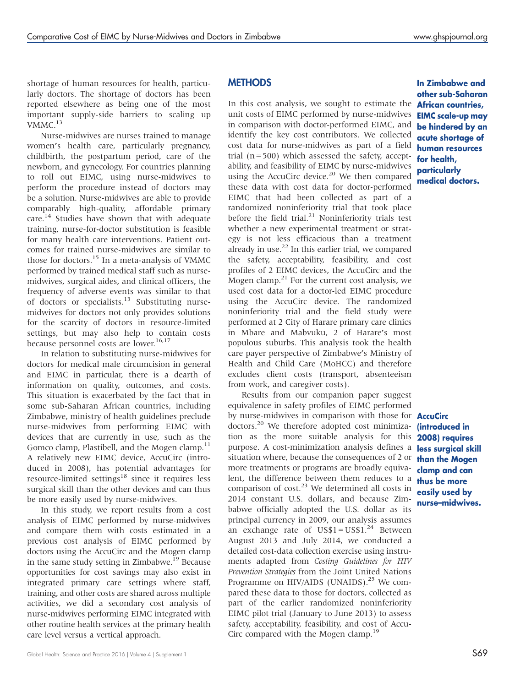shortage of human resources for health, particularly doctors. The shortage of doctors has been reported elsewhere as being one of the most important supply-side barriers to scaling up  $V$ MMC.<sup>13</sup>

Nurse-midwives are nurses trained to manage women's health care, particularly pregnancy, childbirth, the postpartum period, care of the newborn, and gynecology. For countries planning to roll out EIMC, using nurse-midwives to perform the procedure instead of doctors may be a solution. Nurse-midwives are able to provide comparably high-quality, affordable primary care.<sup>14</sup> Studies have shown that with adequate training, nurse-for-doctor substitution is feasible for many health care interventions. Patient outcomes for trained nurse-midwives are similar to those for doctors.<sup>15</sup> In a meta-analysis of VMMC performed by trained medical staff such as nursemidwives, surgical aides, and clinical officers, the frequency of adverse events was similar to that of doctors or specialists.<sup>13</sup> Substituting nursemidwives for doctors not only provides solutions for the scarcity of doctors in resource-limited settings, but may also help to contain costs because personnel costs are lower.<sup>16,17</sup>

In relation to substituting nurse-midwives for doctors for medical male circumcision in general and EIMC in particular, there is a dearth of information on quality, outcomes, and costs. This situation is exacerbated by the fact that in some sub-Saharan African countries, including Zimbabwe, ministry of health guidelines preclude nurse-midwives from performing EIMC with devices that are currently in use, such as the Gomco clamp, Plastibell, and the Mogen clamp.<sup>11</sup> A relatively new EIMC device, AccuCirc (introduced in 2008), has potential advantages for resource-limited settings<sup>18</sup> since it requires less surgical skill than the other devices and can thus be more easily used by nurse-midwives.

In this study, we report results from a cost analysis of EIMC performed by nurse-midwives and compare them with costs estimated in a previous cost analysis of EIMC performed by doctors using the AccuCirc and the Mogen clamp in the same study setting in Zimbabwe.<sup>19</sup> Because opportunities for cost savings may also exist in integrated primary care settings where staff, training, and other costs are shared across multiple activities, we did a secondary cost analysis of nurse-midwives performing EIMC integrated with other routine health services at the primary health care level versus a vertical approach.

## **METHODS**

In this cost analysis, we sought to estimate the **African countries,** unit costs of EIMC performed by nurse-midwives in comparison with doctor-performed EIMC, and identify the key cost contributors. We collected cost data for nurse-midwives as part of a field trial  $(n = 500)$  which assessed the safety, acceptability, and feasibility of EIMC by nurse-midwives using the AccuCirc device.<sup>20</sup> We then compared these data with cost data for doctor-performed EIMC that had been collected as part of a randomized noninferiority trial that took place before the field trial. $21$  Noninferiority trials test whether a new experimental treatment or strategy is not less efficacious than a treatment already in use. $22$  In this earlier trial, we compared the safety, acceptability, feasibility, and cost profiles of 2 EIMC devices, the AccuCirc and the Mogen clamp. $2<sup>1</sup>$  For the current cost analysis, we used cost data for a doctor-led EIMC procedure using the AccuCirc device. The randomized noninferiority trial and the field study were performed at 2 City of Harare primary care clinics in Mbare and Mabvuku, 2 of Harare's most populous suburbs. This analysis took the health care payer perspective of Zimbabwe's Ministry of Health and Child Care (MoHCC) and therefore excludes client costs (transport, absenteeism from work, and caregiver costs).

Results from our companion paper suggest equivalence in safety profiles of EIMC performed by nurse-midwives in comparison with those for **AccuCirc** doctors.<sup>20</sup> We therefore adopted cost minimization as the more suitable analysis for this **2008) requires** purpose. A cost-minimization analysis defines a less surgical skill situation where, because the consequences of 2 or more treatments or programs are broadly equivalent, the difference between them reduces to a comparison of  $cost<sup>23</sup>$  We determined all costs in 2014 constant U.S. dollars, and because Zimbabwe officially adopted the U.S. dollar as its principal currency in 2009, our analysis assumes an exchange rate of  $USS1 = US$1<sup>24</sup>$  Between August 2013 and July 2014, we conducted a detailed cost-data collection exercise using instruments adapted from Costing Guidelines for HIV Prevention Strategies from the Joint United Nations Programme on HIV/AIDS (UNAIDS).<sup>25</sup> We compared these data to those for doctors, collected as part of the earlier randomized noninferiority EIMC pilot trial (January to June 2013) to assess safety, acceptability, feasibility, and cost of Accu-Circ compared with the Mogen clamp.<sup>19</sup>

## In Zimbabwe and other sub-Saharan EIMC scale-up may be hindered by an acute shortage of human resources for health, particularly medical doctors.

(introduced in than the Mogen clamp and can thus be more easily used by nurse–midwives.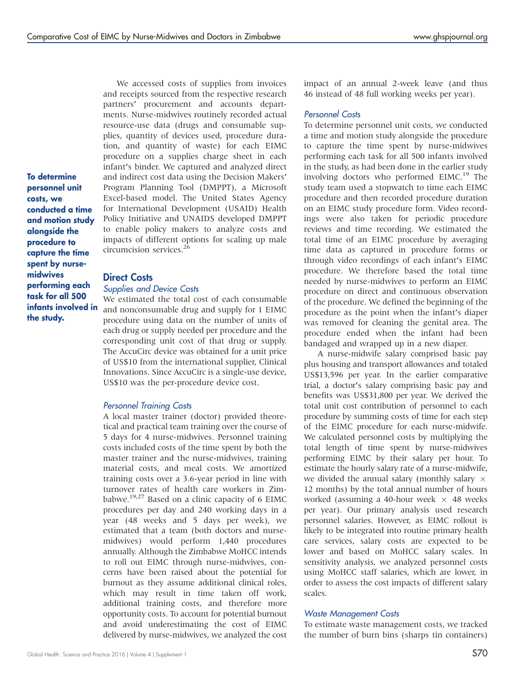To determine personnel unit costs, we conducted a time and motion study alongside the procedure to capture the time spent by nursemidwives performing each task for all 500 infants involved in the study.

We accessed costs of supplies from invoices and receipts sourced from the respective research partners' procurement and accounts departments. Nurse-midwives routinely recorded actual resource-use data (drugs and consumable supplies, quantity of devices used, procedure duration, and quantity of waste) for each EIMC procedure on a supplies charge sheet in each infant's binder. We captured and analyzed direct and indirect cost data using the Decision Makers' Program Planning Tool (DMPPT), a Microsoft Excel-based model. The United States Agency for International Development (USAID) Health Policy Initiative and UNAIDS developed DMPPT to enable policy makers to analyze costs and impacts of different options for scaling up male circumcision services.<sup>26</sup>

#### Direct Costs

#### Supplies and Device Costs

We estimated the total cost of each consumable and nonconsumable drug and supply for 1 EIMC procedure using data on the number of units of each drug or supply needed per procedure and the corresponding unit cost of that drug or supply. The AccuCirc device was obtained for a unit price of US\$10 from the international supplier, Clinical Innovations. Since AccuCirc is a single-use device, US\$10 was the per-procedure device cost.

#### Personnel Training Costs

A local master trainer (doctor) provided theoretical and practical team training over the course of 5 days for 4 nurse-midwives. Personnel training costs included costs of the time spent by both the master trainer and the nurse-midwives, training material costs, and meal costs. We amortized training costs over a 3.6-year period in line with turnover rates of health care workers in Zimbabwe.19,27 Based on a clinic capacity of 6 EIMC procedures per day and 240 working days in a year (48 weeks and 5 days per week), we estimated that a team (both doctors and nursemidwives) would perform 1,440 procedures annually. Although the Zimbabwe MoHCC intends to roll out EIMC through nurse-midwives, concerns have been raised about the potential for burnout as they assume additional clinical roles, which may result in time taken off work, additional training costs, and therefore more opportunity costs. To account for potential burnout and avoid underestimating the cost of EIMC delivered by nurse-midwives, we analyzed the cost impact of an annual 2-week leave (and thus 46 instead of 48 full working weeks per year).

#### Personnel Costs

To determine personnel unit costs, we conducted a time and motion study alongside the procedure to capture the time spent by nurse-midwives performing each task for all 500 infants involved in the study, as had been done in the earlier study involving doctors who performed EIMC.<sup>19</sup> The study team used a stopwatch to time each EIMC procedure and then recorded procedure duration on an EIMC study procedure form. Video recordings were also taken for periodic procedure reviews and time recording. We estimated the total time of an EIMC procedure by averaging time data as captured in procedure forms or through video recordings of each infant's EIMC procedure. We therefore based the total time needed by nurse-midwives to perform an EIMC procedure on direct and continuous observation of the procedure. We defined the beginning of the procedure as the point when the infant's diaper was removed for cleaning the genital area. The procedure ended when the infant had been bandaged and wrapped up in a new diaper.

A nurse-midwife salary comprised basic pay plus housing and transport allowances and totaled US\$13,596 per year. In the earlier comparative trial, a doctor's salary comprising basic pay and benefits was US\$31,800 per year. We derived the total unit cost contribution of personnel to each procedure by summing costs of time for each step of the EIMC procedure for each nurse-midwife. We calculated personnel costs by multiplying the total length of time spent by nurse-midwives performing EIMC by their salary per hour. To estimate the hourly salary rate of a nurse-midwife, we divided the annual salary (monthly salary  $\times$ 12 months) by the total annual number of hours worked (assuming a 40-hour week  $\times$  48 weeks per year). Our primary analysis used research personnel salaries. However, as EIMC rollout is likely to be integrated into routine primary health care services, salary costs are expected to be lower and based on MoHCC salary scales. In sensitivity analysis, we analyzed personnel costs using MoHCC staff salaries, which are lower, in order to assess the cost impacts of different salary scales.

#### Waste Management Costs

To estimate waste management costs, we tracked the number of burn bins (sharps tin containers)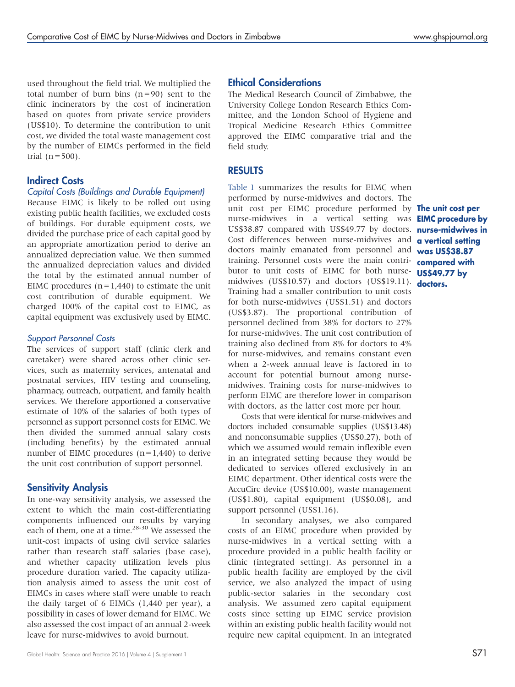used throughout the field trial. We multiplied the total number of burn bins  $(n=90)$  sent to the clinic incinerators by the cost of incineration based on quotes from private service providers (US\$10). To determine the contribution to unit cost, we divided the total waste management cost by the number of EIMCs performed in the field trial  $(n = 500)$ .

## Indirect Costs

#### Capital Costs (Buildings and Durable Equipment)

Because EIMC is likely to be rolled out using existing public health facilities, we excluded costs of buildings. For durable equipment costs, we divided the purchase price of each capital good by an appropriate amortization period to derive an annualized depreciation value. We then summed the annualized depreciation values and divided the total by the estimated annual number of EIMC procedures  $(n=1,440)$  to estimate the unit cost contribution of durable equipment. We charged 100% of the capital cost to EIMC, as capital equipment was exclusively used by EIMC.

#### Support Personnel Costs

The services of support staff (clinic clerk and caretaker) were shared across other clinic services, such as maternity services, antenatal and postnatal services, HIV testing and counseling, pharmacy, outreach, outpatient, and family health services. We therefore apportioned a conservative estimate of 10% of the salaries of both types of personnel as support personnel costs for EIMC. We then divided the summed annual salary costs (including benefits) by the estimated annual number of EIMC procedures  $(n=1,440)$  to derive the unit cost contribution of support personnel.

## Sensitivity Analysis

In one-way sensitivity analysis, we assessed the extent to which the main cost-differentiating components influenced our results by varying each of them, one at a time.<sup>28-30</sup> We assessed the unit-cost impacts of using civil service salaries rather than research staff salaries (base case), and whether capacity utilization levels plus procedure duration varied. The capacity utilization analysis aimed to assess the unit cost of EIMCs in cases where staff were unable to reach the daily target of 6 EIMCs (1,440 per year), a possibility in cases of lower demand for EIMC. We also assessed the cost impact of an annual 2-week leave for nurse-midwives to avoid burnout.

## Ethical Considerations

The Medical Research Council of Zimbabwe, the University College London Research Ethics Committee, and the London School of Hygiene and Tropical Medicine Research Ethics Committee approved the EIMC comparative trial and the field study.

### **RESULTS**

[Table 1](#page-4-0) summarizes the results for EIMC when performed by nurse-midwives and doctors. The unit cost per EIMC procedure performed by **The unit cost per** nurse-midwives in a vertical setting was **EIMC procedure by** US\$38.87 compared with US\$49.77 by doctors. **nurse-midwives in** Cost differences between nurse-midwives and doctors mainly emanated from personnel and was US\$38.87 training. Personnel costs were the main contributor to unit costs of EIMC for both nurse- **US\$49.77 by** midwives (US\$10.57) and doctors (US\$19.11). **doctors.** Training had a smaller contribution to unit costs for both nurse-midwives (US\$1.51) and doctors (US\$3.87). The proportional contribution of personnel declined from 38% for doctors to 27% for nurse-midwives. The unit cost contribution of training also declined from 8% for doctors to 4% for nurse-midwives, and remains constant even when a 2-week annual leave is factored in to account for potential burnout among nursemidwives. Training costs for nurse-midwives to perform EIMC are therefore lower in comparison with doctors, as the latter cost more per hour.

Costs that were identical for nurse-midwives and doctors included consumable supplies (US\$13.48) and nonconsumable supplies (US\$0.27), both of which we assumed would remain inflexible even in an integrated setting because they would be dedicated to services offered exclusively in an EIMC department. Other identical costs were the AccuCirc device (US\$10.00), waste management (US\$1.80), capital equipment (US\$0.08), and support personnel (US\$1.16).

In secondary analyses, we also compared costs of an EIMC procedure when provided by nurse-midwives in a vertical setting with a procedure provided in a public health facility or clinic (integrated setting). As personnel in a public health facility are employed by the civil service, we also analyzed the impact of using public-sector salaries in the secondary cost analysis. We assumed zero capital equipment costs since setting up EIMC service provision within an existing public health facility would not require new capital equipment. In an integrated

a vertical setting compared with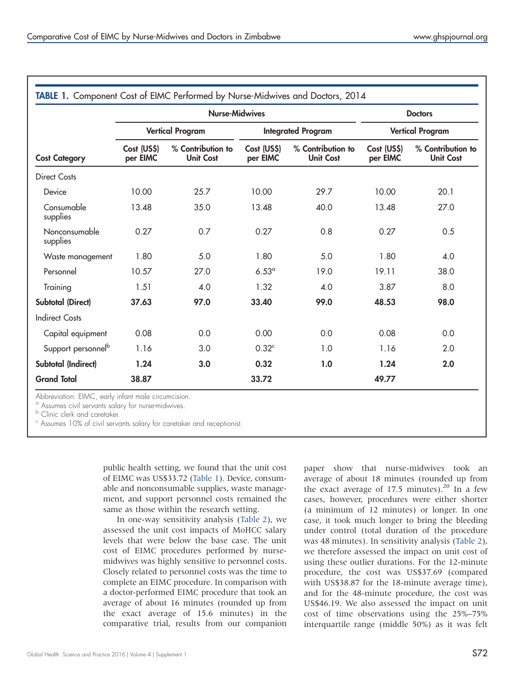<span id="page-4-0"></span>

| <b>Cost Category</b>           | <b>Nurse-Midwives</b>   |                                       |                           |                                       | <b>Doctors</b>          |                                       |
|--------------------------------|-------------------------|---------------------------------------|---------------------------|---------------------------------------|-------------------------|---------------------------------------|
|                                | <b>Vertical Program</b> |                                       | <b>Integrated Program</b> |                                       | <b>Vertical Program</b> |                                       |
|                                | Cost (US\$)<br>per EIMC | % Contribution to<br><b>Unit Cost</b> | Cost (US\$)<br>per EIMC   | % Contribution to<br><b>Unit Cost</b> | Cost (US\$)<br>per EIMC | % Contribution to<br><b>Unit Cost</b> |
| <b>Direct Costs</b>            |                         |                                       |                           |                                       |                         |                                       |
| Device                         | 10.00                   | 25.7                                  | 10.00                     | 29.7                                  | 10.00                   | 20.1                                  |
| Consumable<br>supplies         | 13.48                   | 35.0                                  | 13.48                     | 40.0                                  | 13.48                   | 27.0                                  |
| Nonconsumable<br>supplies      | 0.27                    | 0.7                                   | 0.27                      | 0.8                                   | 0.27                    | 0.5                                   |
| Waste management               | 1.80                    | 5.0                                   | 1.80                      | 5.0                                   | 1.80                    | 4.0                                   |
| Personnel                      | 10.57                   | 27.0                                  | 6.53 <sup>a</sup>         | 19.0                                  | 19.11                   | 38.0                                  |
| Training                       | 1.51                    | 4.0                                   | 1.32                      | 4.0                                   | 3.87                    | 8.0                                   |
| <b>Subtotal (Direct)</b>       | 37.63                   | 97.0                                  | 33.40                     | 99.0                                  | 48.53                   | 98.0                                  |
| <b>Indirect Costs</b>          |                         |                                       |                           |                                       |                         |                                       |
| Capital equipment              | 0.08                    | 0.0                                   | 0.00                      | 0.0                                   | 0.08                    | 0.0                                   |
| Support personnel <sup>b</sup> | 1.16                    | 3.0                                   | 0.32 <sup>c</sup>         | 1.0                                   | 1.16                    | 2.0                                   |
| Subtotal (Indirect)            | 1.24                    | 3.0                                   | 0.32                      | 1.0                                   | 1.24                    | 2.0                                   |
| <b>Grand Total</b>             | 38.87                   |                                       | 33.72                     |                                       | 49.77                   |                                       |

<sup>a</sup> Assumes civil servants salary for nurse-midwives.

**b** Clinic clerk and caretaker.

<sup>c</sup> Assumes 10% of civil servants salary for caretaker and receptionist.

public health setting, we found that the unit cost of EIMC was US\$33.72 (Table 1). Device, consumable and nonconsumable supplies, waste management, and support personnel costs remained the same as those within the research setting.

In one-way sensitivity analysis ([Table 2](#page-5-0)), we assessed the unit cost impacts of MoHCC salary levels that were below the base case. The unit cost of EIMC procedures performed by nursemidwives was highly sensitive to personnel costs. Closely related to personnel costs was the time to complete an EIMC procedure. In comparison with a doctor-performed EIMC procedure that took an average of about 16 minutes (rounded up from the exact average of 15.6 minutes) in the comparative trial, results from our companion

paper show that nurse-midwives took an average of about 18 minutes (rounded up from the exact average of 17.5 minutes).<sup>20</sup> In a few cases, however, procedures were either shorter (a minimum of 12 minutes) or longer. In one case, it took much longer to bring the bleeding under control (total duration of the procedure was 48 minutes). In sensitivity analysis [\(Table 2\)](#page-5-0), we therefore assessed the impact on unit cost of using these outlier durations. For the 12-minute procedure, the cost was US\$37.69 (compared with US\$38.87 for the 18-minute average time), and for the 48-minute procedure, the cost was US\$46.19. We also assessed the impact on unit cost of time observations using the 25%–75% interquartile range (middle 50%) as it was felt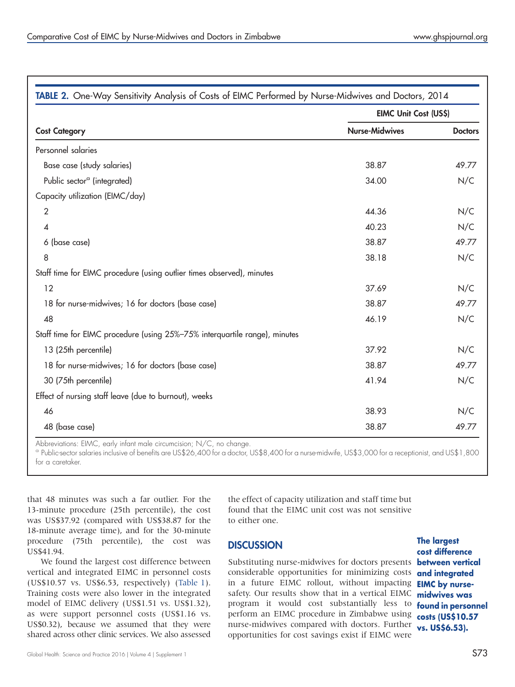<span id="page-5-0"></span>

|                                                                            | EIMC Unit Cost (US\$) |                |  |
|----------------------------------------------------------------------------|-----------------------|----------------|--|
| <b>Cost Category</b>                                                       | <b>Nurse-Midwives</b> | <b>Doctors</b> |  |
| Personnel salaries                                                         |                       |                |  |
| Base case (study salaries)                                                 | 38.87                 | 49.77          |  |
| Public sector <sup>a</sup> (integrated)                                    | 34.00                 | N/C            |  |
| Capacity utilization (EIMC/day)                                            |                       |                |  |
| $\overline{2}$                                                             | 44.36                 | N/C            |  |
| 4                                                                          | 40.23                 | N/C            |  |
| 6 (base case)                                                              | 38.87                 | 49.77          |  |
| 8                                                                          | 38.18                 | N/C            |  |
| Staff time for EIMC procedure (using outlier times observed), minutes      |                       |                |  |
| 12                                                                         | 37.69                 | N/C            |  |
| 18 for nurse-midwives; 16 for doctors (base case)                          | 38.87                 | 49.77          |  |
| 48                                                                         | 46.19                 | N/C            |  |
| Staff time for EIMC procedure (using 25%-75% interquartile range), minutes |                       |                |  |
| 13 (25th percentile)                                                       | 37.92                 | N/C            |  |
| 18 for nurse-midwives; 16 for doctors (base case)                          | 38.87                 | 49.77          |  |
| 30 (75th percentile)                                                       | 41.94                 | N/C            |  |
| Effect of nursing staff leave (due to burnout), weeks                      |                       |                |  |
| 46                                                                         | 38.93                 | N/C            |  |
| 48 (base case)                                                             | 38.87                 | 49.77          |  |

Abbreviations: EIMC, early infant male circumcision; N/C, no change.

<sup>a</sup> Public-sector salaries inclusive of benefits are US\$26,400 for a doctor, US\$8,400 for a nurse-midwife, US\$3,000 for a receptionist, and US\$1,800 for a caretaker.

that 48 minutes was such a far outlier. For the 13-minute procedure (25th percentile), the cost was US\$37.92 (compared with US\$38.87 for the 18-minute average time), and for the 30-minute procedure (75th percentile), the cost was US\$41.94.

We found the largest cost difference between vertical and integrated EIMC in personnel costs (US\$10.57 vs. US\$6.53, respectively) [\(Table 1](#page-4-0)). Training costs were also lower in the integrated model of EIMC delivery (US\$1.51 vs. US\$1.32), as were support personnel costs (US\$1.16 vs. US\$0.32), because we assumed that they were shared across other clinic services. We also assessed

the effect of capacity utilization and staff time but found that the EIMC unit cost was not sensitive to either one.

## **DISCUSSION**

Substituting nurse-midwives for doctors presents **between vertical** considerable opportunities for minimizing costs in a future EIMC rollout, without impacting **EIMC by nurse**safety. Our results show that in a vertical EIMC midwives was program it would cost substantially less to perform an EIMC procedure in Zimbabwe using nurse-midwives compared with doctors. Further opportunities for cost savings exist if EIMC were

The largest cost difference and integrated found in personnel costs (US\$10.57 vs. US\$6.53).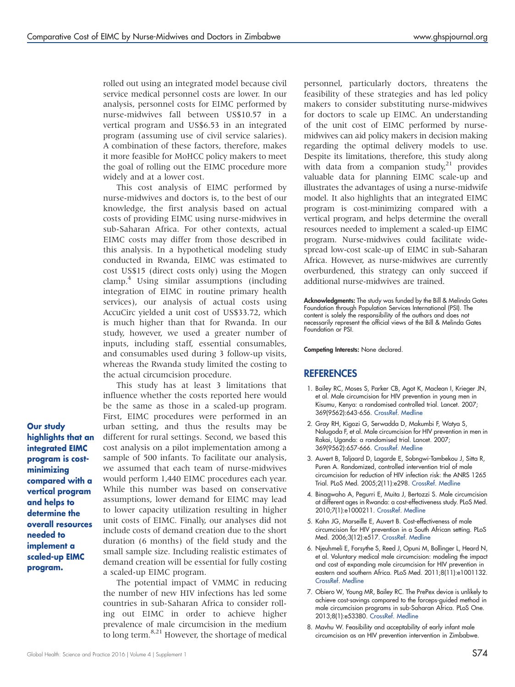rolled out using an integrated model because civil service medical personnel costs are lower. In our analysis, personnel costs for EIMC performed by nurse-midwives fall between US\$10.57 in a vertical program and US\$6.53 in an integrated program (assuming use of civil service salaries). A combination of these factors, therefore, makes it more feasible for MoHCC policy makers to meet the goal of rolling out the EIMC procedure more widely and at a lower cost.

This cost analysis of EIMC performed by nurse-midwives and doctors is, to the best of our knowledge, the first analysis based on actual costs of providing EIMC using nurse-midwives in sub-Saharan Africa. For other contexts, actual EIMC costs may differ from those described in this analysis. In a hypothetical modeling study conducted in Rwanda, EIMC was estimated to cost US\$15 (direct costs only) using the Mogen clamp.<sup>4</sup> Using similar assumptions (including integration of EIMC in routine primary health services), our analysis of actual costs using AccuCirc yielded a unit cost of US\$33.72, which is much higher than that for Rwanda. In our study, however, we used a greater number of inputs, including staff, essential consumables, and consumables used during 3 follow-up visits, whereas the Rwanda study limited the costing to the actual circumcision procedure.

This study has at least 3 limitations that influence whether the costs reported here would be the same as those in a scaled-up program. First, EIMC procedures were performed in an urban setting, and thus the results may be different for rural settings. Second, we based this cost analysis on a pilot implementation among a sample of 500 infants. To facilitate our analysis, we assumed that each team of nurse-midwives would perform 1,440 EIMC procedures each year. While this number was based on conservative assumptions, lower demand for EIMC may lead to lower capacity utilization resulting in higher unit costs of EIMC. Finally, our analyses did not include costs of demand creation due to the short duration (6 months) of the field study and the small sample size. Including realistic estimates of demand creation will be essential for fully costing a scaled-up EIMC program.

The potential impact of VMMC in reducing the number of new HIV infections has led some countries in sub-Saharan Africa to consider rolling out EIMC in order to achieve higher prevalence of male circumcision in the medium to long term.<sup>8,21</sup> However, the shortage of medical personnel, particularly doctors, threatens the feasibility of these strategies and has led policy makers to consider substituting nurse-midwives for doctors to scale up EIMC. An understanding of the unit cost of EIMC performed by nursemidwives can aid policy makers in decision making regarding the optimal delivery models to use. Despite its limitations, therefore, this study along with data from a companion study,<sup>21</sup> provides valuable data for planning EIMC scale-up and illustrates the advantages of using a nurse-midwife model. It also highlights that an integrated EIMC program is cost-minimizing compared with a vertical program, and helps determine the overall resources needed to implement a scaled-up EIMC program. Nurse-midwives could facilitate widespread low-cost scale-up of EIMC in sub-Saharan Africa. However, as nurse-midwives are currently overburdened, this strategy can only succeed if additional nurse-midwives are trained.

Acknowledgments: The study was funded by the Bill & Melinda Gates Foundation through Population Services International (PSI). The content is solely the responsibility of the authors and does not necessarily represent the official views of the Bill & Melinda Gates Foundation or PSI.

Competing Interests: None declared.

#### **REFERENCES**

- 1. Bailey RC, Moses S, Parker CB, Agot K, Maclean I, Krieger JN, et al. Male circumcision for HIV prevention in young men in Kisumu, Kenya: a randomised controlled trial. Lancet. 2007; 369(9562):643-656. [CrossRef](http://dx.doi.org/10.1016/S0140-6736(07)60312-2). [Medline](http://www.ncbi.nlm.nih.gov/pubmed/17321310)
- 2. Gray RH, Kigozi G, Serwadda D, Makumbi F, Watya S, Nalugoda F, et al. Male circumcision for HIV prevention in men in Rakai, Uganda: a randomised trial. Lancet. 2007; 369(9562):657-666. [CrossRef](http://dx.doi.org/10.1016/S0140-6736(07)60313-4). [Medline](http://www.ncbi.nlm.nih.gov/pubmed/17321311)
- 3. Auvert B, Taljaard D, Lagarde E, Sobngwi-Tambekou J, Sitta R, Puren A. Randomized, controlled intervention trial of male circumcision for reduction of HIV infection risk: the ANRS 1265 Trial. PLoS Med. 2005;2(11):e298. [CrossRef.](http://dx.doi.org/10.1371/journal.pmed.0020298) [Medline](http://www.ncbi.nlm.nih.gov/pubmed/16231970)
- 4. Binagwaho A, Pegurri E, Muita J, Bertozzi S. Male circumcision at different ages in Rwanda: a cost-effectiveness study. PLoS Med. 2010;7(1):e1000211. [CrossRef.](http://dx.doi.org/10.1371/journal.pmed.1000211) [Medline](http://www.ncbi.nlm.nih.gov/pubmed/20098721)
- 5. Kahn JG, Marseille E, Auvert B. Cost-effectiveness of male circumcision for HIV prevention in a South African setting. PLoS Med. 2006;3(12):e517. [CrossRef](http://dx.doi.org/10.1371/journal.pmed.0030517). [Medline](http://www.ncbi.nlm.nih.gov/pubmed/17194197)
- 6. Njeuhmeli E, Forsythe S, Reed J, Opuni M, Bollinger L, Heard N, et al. Voluntary medical male circumcision: modeling the impact and cost of expanding male circumcision for HIV prevention in eastern and southern Africa. PLoS Med. 2011;8(11):e1001132. [CrossRef.](http://dx.doi.org/10.1371/journal.pmed.1001132) [Medline](http://www.ncbi.nlm.nih.gov/pubmed/22140367)
- 7. Obiero W, Young MR, Bailey RC. The PrePex device is unlikely to achieve cost-savings compared to the forceps-guided method in male circumcision programs in sub-Saharan Africa. PLoS One. 2013;8(1):e53380. [CrossRef.](http://dx.doi.org/10.1371/journal.pone.0053380) [Medline](http://www.ncbi.nlm.nih.gov/pubmed/23349708)
- 8. Mavhu W. Feasibility and acceptability of early infant male circumcision as an HIV prevention intervention in Zimbabwe.

highlights that an integrated EIMC program is costminimizing compared with a vertical program and helps to determine the overall resources needed to implement a scaled-up EIMC program.

Our study